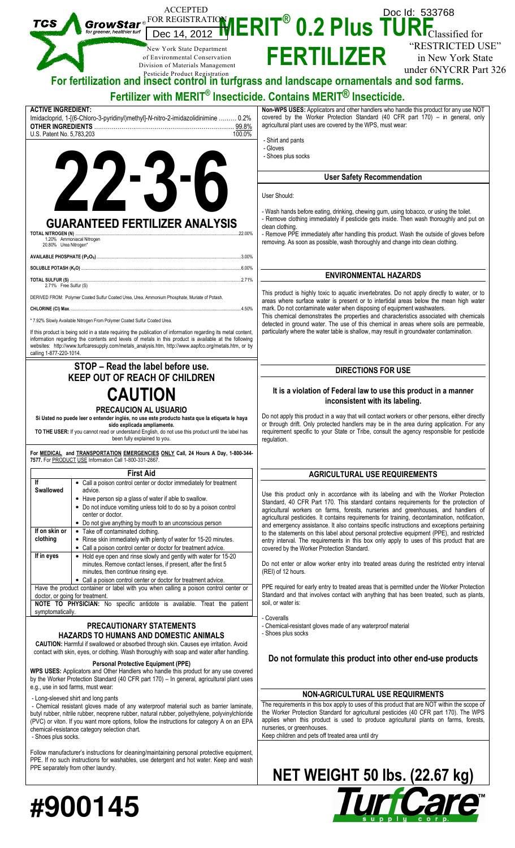|                                                                   | <b>ACCEPTED</b>                                                                                                                                                                   | Doc Id: 533768                                                                                                                                                                                                                                                                                                                                                                                                                                  |  |
|-------------------------------------------------------------------|-----------------------------------------------------------------------------------------------------------------------------------------------------------------------------------|-------------------------------------------------------------------------------------------------------------------------------------------------------------------------------------------------------------------------------------------------------------------------------------------------------------------------------------------------------------------------------------------------------------------------------------------------|--|
|                                                                   |                                                                                                                                                                                   | GrowStar $e^{\text{FOR REGISTRATIO}}$ $\text{HERIT}^{\textcircled{\tiny{\textcircled{\tiny{\textcirc}}}}\text{O.2}$ Plus $\text{TURE}_{\text{Classified for}}$                                                                                                                                                                                                                                                                                  |  |
|                                                                   |                                                                                                                                                                                   | "RESTRICTED USE"                                                                                                                                                                                                                                                                                                                                                                                                                                |  |
|                                                                   | New York State Department<br>of Environmental Conservation                                                                                                                        | <b>FERTILIZER</b><br>in New York State                                                                                                                                                                                                                                                                                                                                                                                                          |  |
|                                                                   | Division of Materials Management                                                                                                                                                  | under 6NYCRR Part 326                                                                                                                                                                                                                                                                                                                                                                                                                           |  |
|                                                                   |                                                                                                                                                                                   | For fertilization and insect control in turfgrass and landscape ornamentals and sod farms.                                                                                                                                                                                                                                                                                                                                                      |  |
|                                                                   |                                                                                                                                                                                   | Fertilizer with MERIT <sup>®</sup> Insecticide. Contains MERIT <sup>®</sup> Insecticide.                                                                                                                                                                                                                                                                                                                                                        |  |
| <b>ACTIVE INGREDIENT:</b>                                         |                                                                                                                                                                                   | Non-WPS USES: Applicators and other handlers who handle this product for any use NOT                                                                                                                                                                                                                                                                                                                                                            |  |
|                                                                   | Imidacloprid, 1-[(6-Chloro-3-pyridinyl)methyl]-N-nitro-2-imidazolidinimine  0.2%                                                                                                  | covered by the Worker Protection Standard (40 CFR part 170) - in general, only<br>agricultural plant uses are covered by the WPS, must wear:                                                                                                                                                                                                                                                                                                    |  |
| U.S. Patent No. 5,783,203                                         | 100.0%                                                                                                                                                                            |                                                                                                                                                                                                                                                                                                                                                                                                                                                 |  |
|                                                                   |                                                                                                                                                                                   | - Shirt and pants<br>- Gloves                                                                                                                                                                                                                                                                                                                                                                                                                   |  |
|                                                                   |                                                                                                                                                                                   | - Shoes plus socks                                                                                                                                                                                                                                                                                                                                                                                                                              |  |
|                                                                   | $2 - 5 - 1$                                                                                                                                                                       | <b>User Safety Recommendation</b>                                                                                                                                                                                                                                                                                                                                                                                                               |  |
|                                                                   |                                                                                                                                                                                   |                                                                                                                                                                                                                                                                                                                                                                                                                                                 |  |
|                                                                   |                                                                                                                                                                                   | User Should:                                                                                                                                                                                                                                                                                                                                                                                                                                    |  |
|                                                                   |                                                                                                                                                                                   | - Wash hands before eating, drinking, chewing gum, using tobacco, or using the toilet.                                                                                                                                                                                                                                                                                                                                                          |  |
|                                                                   | <b>GUARANTEED FERTILIZER ANALYSIS</b>                                                                                                                                             | - Remove clothing immediately if pesticide gets inside. Then wash thoroughly and put on<br>clean clothing.                                                                                                                                                                                                                                                                                                                                      |  |
| <b>TOTAL NITROGEN (N)</b>                                         | .22.00%<br>1.20% Ammoniacal Nitrogen                                                                                                                                              | - Remove PPE immediately after handling this product. Wash the outside of gloves before<br>removing. As soon as possible, wash thoroughly and change into clean clothing.                                                                                                                                                                                                                                                                       |  |
| 20.80% Urea Nitrogen*                                             |                                                                                                                                                                                   |                                                                                                                                                                                                                                                                                                                                                                                                                                                 |  |
|                                                                   |                                                                                                                                                                                   |                                                                                                                                                                                                                                                                                                                                                                                                                                                 |  |
|                                                                   | TOTAL SULFUR (S) 271%                                                                                                                                                             | <b>ENVIRONMENTAL HAZARDS</b>                                                                                                                                                                                                                                                                                                                                                                                                                    |  |
| 2.71% Free Sulfur (S)                                             |                                                                                                                                                                                   | This product is highly toxic to aquatic invertebrates. Do not apply directly to water, or to                                                                                                                                                                                                                                                                                                                                                    |  |
|                                                                   | DERIVED FROM: Polymer Coated Sulfur Coated Urea, Urea, Ammonium Phosphate, Muriate of Potash.                                                                                     | areas where surface water is present or to intertidal areas below the mean high water<br>mark. Do not contaminate water when disposing of equipment washwaters.<br>This chemical demonstrates the properties and characteristics associated with chemicals<br>detected in ground water. The use of this chemical in areas where soils are permeable,<br>particularly where the water table is shallow, may result in groundwater contamination. |  |
|                                                                   | * 7.92% Slowly Available Nitrogen From Polymer Coated Sulfur Coated Urea.                                                                                                         |                                                                                                                                                                                                                                                                                                                                                                                                                                                 |  |
|                                                                   | If this product is being sold in a state requiring the publication of information regarding its metal content,                                                                    |                                                                                                                                                                                                                                                                                                                                                                                                                                                 |  |
|                                                                   | information regarding the contents and levels of metals in this product is available at the following                                                                             |                                                                                                                                                                                                                                                                                                                                                                                                                                                 |  |
| calling 1-877-220-1014.                                           | websites: http://www.turfcaresupply.com/metals_analysis.htm, http://www.aapfco.org/metals.htm, or by                                                                              |                                                                                                                                                                                                                                                                                                                                                                                                                                                 |  |
|                                                                   | STOP - Read the label before use.                                                                                                                                                 | <b>DIRECTIONS FOR USE</b>                                                                                                                                                                                                                                                                                                                                                                                                                       |  |
|                                                                   | <b>KEEP OUT OF REACH OF CHILDREN</b>                                                                                                                                              |                                                                                                                                                                                                                                                                                                                                                                                                                                                 |  |
| <b>CAUTION</b>                                                    |                                                                                                                                                                                   | It is a violation of Federal law to use this product in a manner                                                                                                                                                                                                                                                                                                                                                                                |  |
|                                                                   | <b>PRECAUCION AL USUARIO</b>                                                                                                                                                      | inconsistent with its labeling.                                                                                                                                                                                                                                                                                                                                                                                                                 |  |
|                                                                   | Si Usted no puede leer o entender inglés, no use este producto hasta que la etiqueta le haya<br>sido explicada ampliamente.                                                       | Do not apply this product in a way that will contact workers or other persons, either directly<br>or through drift. Only protected handlers may be in the area during application. For any                                                                                                                                                                                                                                                      |  |
|                                                                   | TO THE USER: If you cannot read or understand English, do not use this product until the label has                                                                                | requirement specific to your State or Tribe, consult the agency responsible for pesticide                                                                                                                                                                                                                                                                                                                                                       |  |
|                                                                   | been fully explained to you.                                                                                                                                                      | regulation.                                                                                                                                                                                                                                                                                                                                                                                                                                     |  |
|                                                                   | For MEDICAL and TRANSPORTATION EMERGENCIES ONLY Call, 24 Hours A Day, 1-800-344-<br>7577. For PRODUCT USE Information Call 1-800-331-2867.                                        |                                                                                                                                                                                                                                                                                                                                                                                                                                                 |  |
|                                                                   | <b>First Aid</b>                                                                                                                                                                  | <b>AGRICULTURAL USE REQUIREMENTS</b>                                                                                                                                                                                                                                                                                                                                                                                                            |  |
| lf<br><b>Swallowed</b>                                            | • Call a poison control center or doctor immediately for treatment<br>advice.                                                                                                     |                                                                                                                                                                                                                                                                                                                                                                                                                                                 |  |
|                                                                   | • Have person sip a glass of water if able to swallow.                                                                                                                            | Use this product only in accordance with its labeling and with the Worker Protection<br>Standard, 40 CFR Part 170. This standard contains requirements for the protection of                                                                                                                                                                                                                                                                    |  |
|                                                                   | • Do not induce vomiting unless told to do so by a poison control<br>center or doctor.                                                                                            | agricultural workers on farms, forests, nurseries and greenhouses, and handlers of                                                                                                                                                                                                                                                                                                                                                              |  |
|                                                                   | • Do not give anything by mouth to an unconscious person                                                                                                                          | agricultural pesticides. It contains requirements for training, decontamination, notification,<br>and emergency assistance. It also contains specific instructions and exceptions pertaining                                                                                                                                                                                                                                                    |  |
| If on skin or                                                     |                                                                                                                                                                                   |                                                                                                                                                                                                                                                                                                                                                                                                                                                 |  |
|                                                                   | • Take off contaminated clothing.<br>• Rinse skin immediately with plenty of water for 15-20 minutes.                                                                             | to the statements on this label about personal protective equipment (PPE), and restricted                                                                                                                                                                                                                                                                                                                                                       |  |
|                                                                   | • Call a poison control center or doctor for treatment advice.                                                                                                                    | entry interval. The requirements in this box only apply to uses of this product that are<br>covered by the Worker Protection Standard.                                                                                                                                                                                                                                                                                                          |  |
|                                                                   | • Hold eye open and rinse slowly and gently with water for 15-20<br>minutes. Remove contact lenses, if present, after the first 5                                                 | Do not enter or allow worker entry into treated areas during the restricted entry interval                                                                                                                                                                                                                                                                                                                                                      |  |
|                                                                   | minutes, then continue rinsing eye.                                                                                                                                               | (REI) of 12 hours.                                                                                                                                                                                                                                                                                                                                                                                                                              |  |
|                                                                   | • Call a poison control center or doctor for treatment advice.<br>Have the product container or label with you when calling a poison control center or                            | PPE required for early entry to treated areas that is permitted under the Worker Protection                                                                                                                                                                                                                                                                                                                                                     |  |
|                                                                   | doctor, or going for treatment.<br>NOTE TO PHYSICIAN: No specific antidote is available. Treat the patient                                                                        | Standard and that involves contact with anything that has been treated, such as plants,<br>soil, or water is:                                                                                                                                                                                                                                                                                                                                   |  |
|                                                                   |                                                                                                                                                                                   |                                                                                                                                                                                                                                                                                                                                                                                                                                                 |  |
|                                                                   | PRECAUTIONARY STATEMENTS                                                                                                                                                          | - Coveralls<br>- Chemical-resistant gloves made of any waterproof material                                                                                                                                                                                                                                                                                                                                                                      |  |
|                                                                   | <b>HAZARDS TO HUMANS AND DOMESTIC ANIMALS</b>                                                                                                                                     | - Shoes plus socks                                                                                                                                                                                                                                                                                                                                                                                                                              |  |
|                                                                   | CAUTION: Harmful if swallowed or absorbed through skin. Causes eye irritation. Avoid<br>contact with skin, eyes, or clothing. Wash thoroughly with soap and water after handling. |                                                                                                                                                                                                                                                                                                                                                                                                                                                 |  |
|                                                                   | <b>Personal Protective Equipment (PPE)</b>                                                                                                                                        | Do not formulate this product into other end-use products                                                                                                                                                                                                                                                                                                                                                                                       |  |
|                                                                   | WPS USES: Applicators and Other Handlers who handle this product for any use covered<br>by the Worker Protection Standard (40 CFR part 170) - In general, agricultural plant uses |                                                                                                                                                                                                                                                                                                                                                                                                                                                 |  |
|                                                                   | e.g., use in sod farms, must wear:                                                                                                                                                |                                                                                                                                                                                                                                                                                                                                                                                                                                                 |  |
|                                                                   | - Long-sleeved shirt and long pants<br>- Chemical resistant gloves made of any waterproof material such as barrier laminate,                                                      | NON-AGRICULTURAL USE REQUIRMENTS<br>The requirements in this box apply to uses of this product that are NOT within the scope of                                                                                                                                                                                                                                                                                                                 |  |
|                                                                   | butyl rubber, nitrile rubber, neoprene rubber, natural rubber, polyethylene, polyvinylchloride                                                                                    | the Worker Protection Standard for agricultural pesticides (40 CFR part 170). The WPS                                                                                                                                                                                                                                                                                                                                                           |  |
|                                                                   | (PVC) or viton. If you want more options, follow the instructions for category A on an EPA<br>chemical-resistance category selection chart.                                       | applies when this product is used to produce agricultural plants on farms, forests,<br>nurseries, or greenhouses.                                                                                                                                                                                                                                                                                                                               |  |
| clothing<br>If in eyes<br>symptomatically.<br>- Shoes plus socks. |                                                                                                                                                                                   | Keep children and pets off treated area until dry                                                                                                                                                                                                                                                                                                                                                                                               |  |

# **#900145**

PPE separately from other laundry.

PPE. If no such instructions for washables, use detergent and hot water. Keep and wash

# **NET WEIGHT 50 lbs. (22.67 kg)**<br> **Furney are**